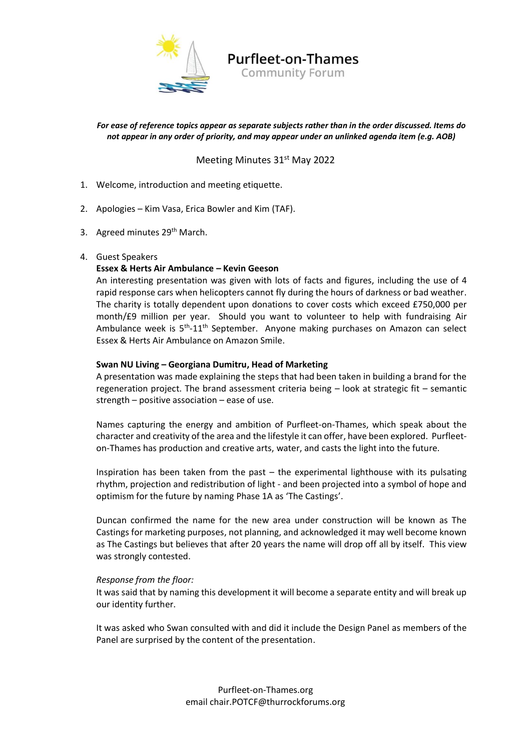

**Purfleet-on-Thames** 

**Community Forum** 

*For ease of reference topics appear as separate subjects rather than in the order discussed. Items do not appear in any order of priority, and may appear under an unlinked agenda item (e.g. AOB)*

#### Meeting Minutes 31<sup>st</sup> May 2022

- 1. Welcome, introduction and meeting etiquette.
- 2. Apologies Kim Vasa, Erica Bowler and Kim (TAF).
- 3. Agreed minutes 29<sup>th</sup> March.
- 4. Guest Speakers

#### **Essex & Herts Air Ambulance – Kevin Geeson**

An interesting presentation was given with lots of facts and figures, including the use of 4 rapid response cars when helicopters cannot fly during the hours of darkness or bad weather. The charity is totally dependent upon donations to cover costs which exceed £750,000 per month/£9 million per year. Should you want to volunteer to help with fundraising Air Ambulance week is 5<sup>th</sup>-11<sup>th</sup> September. Anyone making purchases on Amazon can select Essex & Herts Air Ambulance on Amazon Smile.

#### **Swan NU Living – Georgiana Dumitru, Head of Marketing**

A presentation was made explaining the steps that had been taken in building a brand for the regeneration project. The brand assessment criteria being – look at strategic fit – semantic strength – positive association – ease of use.

Names capturing the energy and ambition of Purfleet-on-Thames, which speak about the character and creativity of the area and the lifestyle it can offer, have been explored. Purfleeton-Thames has production and creative arts, water, and casts the light into the future.

Inspiration has been taken from the past – the experimental lighthouse with its pulsating rhythm, projection and redistribution of light - and been projected into a symbol of hope and optimism for the future by naming Phase 1A as 'The Castings'.

Duncan confirmed the name for the new area under construction will be known as The Castings for marketing purposes, not planning, and acknowledged it may well become known as The Castings but believes that after 20 years the name will drop off all by itself. This view was strongly contested.

#### *Response from the floor:*

It was said that by naming this development it will become a separate entity and will break up our identity further.

It was asked who Swan consulted with and did it include the Design Panel as members of the Panel are surprised by the content of the presentation.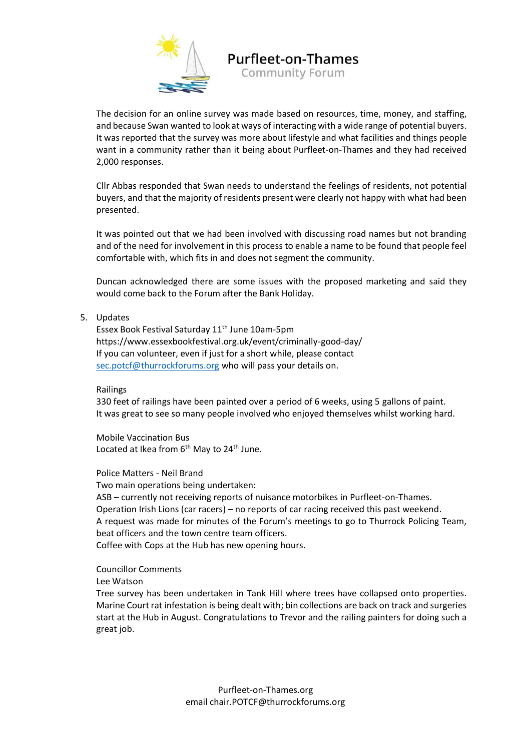

## **Purfleet-on-Thames**

**Community Forum** 

The decision for an online survey was made based on resources, time, money, and staffing, and because Swan wanted to look at ways of interacting with a wide range of potential buyers. It was reported that the survey was more about lifestyle and what facilities and things people want in a community rather than it being about Purfleet-on-Thames and they had received 2,000 responses.

Cllr Abbas responded that Swan needs to understand the feelings of residents, not potential buyers, and that the majority of residents present were clearly not happy with what had been presented.

It was pointed out that we had been involved with discussing road names but not branding and of the need for involvement in this process to enable a name to be found that people feel comfortable with, which fits in and does not segment the community.

Duncan acknowledged there are some issues with the proposed marketing and said they would come back to the Forum after the Bank Holiday.

5. Updates

Essex Book Festival Saturday 11<sup>th</sup> June 10am-5pm https://www.essexbookfestival.org.uk/event/criminally-good-day/ If you can volunteer, even if just for a short while, please contact [sec.potcf@thurrockforums.org](mailto:sec.potcf@thurrockforums.org) who will pass your details on.

Railings

330 feet of railings have been painted over a period of 6 weeks, using 5 gallons of paint. It was great to see so many people involved who enjoyed themselves whilst working hard.

Mobile Vaccination Bus Located at Ikea from  $6<sup>th</sup>$  May to 24<sup>th</sup> June.

Police Matters - Neil Brand

Two main operations being undertaken:

ASB – currently not receiving reports of nuisance motorbikes in Purfleet-on-Thames. Operation Irish Lions (car racers) – no reports of car racing received this past weekend. A request was made for minutes of the Forum's meetings to go to Thurrock Policing Team, beat officers and the town centre team officers.

Coffee with Cops at the Hub has new opening hours.

Councillor Comments

Lee Watson

Tree survey has been undertaken in Tank Hill where trees have collapsed onto properties. Marine Court rat infestation is being dealt with; bin collections are back on track and surgeries start at the Hub in August. Congratulations to Trevor and the railing painters for doing such a great job.